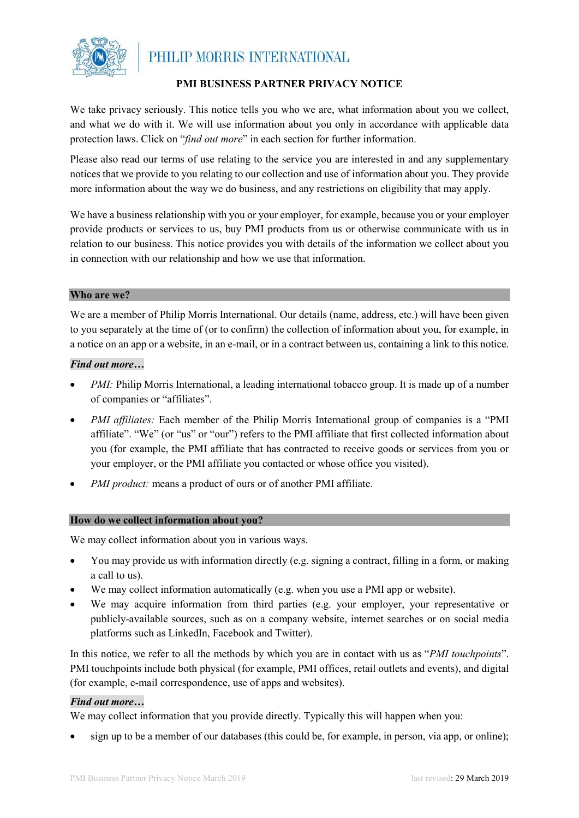

## **PMI BUSINESS PARTNER PRIVACY NOTICE**

We take privacy seriously. This notice tells you who we are, what information about you we collect, and what we do with it. We will use information about you only in accordance with applicable data protection laws. Click on "*find out more*" in each section for further information.

Please also read our terms of use relating to the service you are interested in and any supplementary notices that we provide to you relating to our collection and use of information about you. They provide more information about the way we do business, and any restrictions on eligibility that may apply.

We have a business relationship with you or your employer, for example, because you or your employer provide products or services to us, buy PMI products from us or otherwise communicate with us in relation to our business. This notice provides you with details of the information we collect about you in connection with our relationship and how we use that information.

#### **Who are we?**

We are a member of Philip Morris International. Our details (name, address, etc.) will have been given to you separately at the time of (or to confirm) the collection of information about you, for example, in a notice on an app or a website, in an e-mail, or in a contract between us, containing a link to this notice.

#### *Find out more…*

- *PMI*: Philip Morris International, a leading international tobacco group. It is made up of a number of companies or "affiliates".
- *PMI affiliates:* Each member of the Philip Morris International group of companies is a "PMI affiliate". "We" (or "us" or "our") refers to the PMI affiliate that first collected information about you (for example, the PMI affiliate that has contracted to receive goods or services from you or your employer, or the PMI affiliate you contacted or whose office you visited).
- *PMI product:* means a product of ours or of another PMI affiliate.

#### **How do we collect information about you?**

We may collect information about you in various ways.

- You may provide us with information directly (e.g. signing a contract, filling in a form, or making a call to us).
- We may collect information automatically (e.g. when you use a PMI app or website).
- We may acquire information from third parties (e.g. your employer, your representative or publicly-available sources, such as on a company website, internet searches or on social media platforms such as LinkedIn, Facebook and Twitter).

In this notice, we refer to all the methods by which you are in contact with us as "*PMI touchpoints*". PMI touchpoints include both physical (for example, PMI offices, retail outlets and events), and digital (for example, e-mail correspondence, use of apps and websites).

#### *Find out more…*

We may collect information that you provide directly. Typically this will happen when you:

• sign up to be a member of our databases (this could be, for example, in person, via app, or online);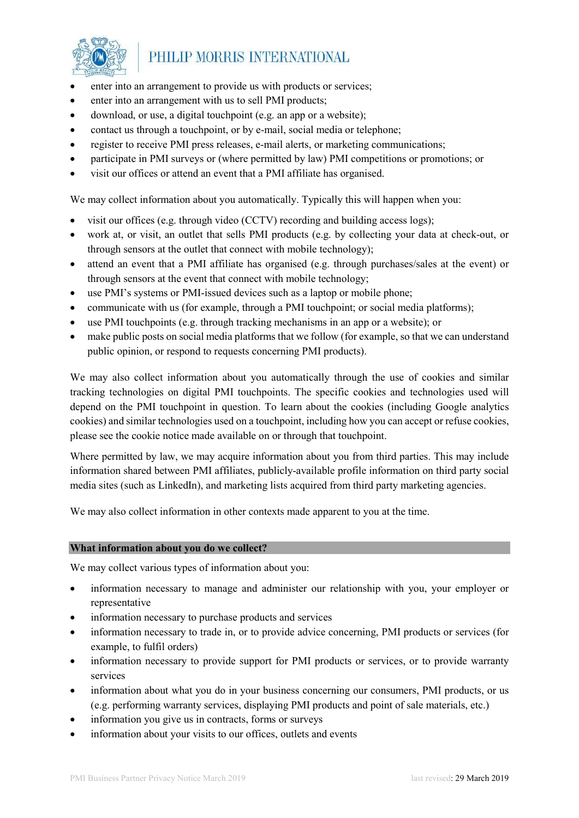

- enter into an arrangement to provide us with products or services;
- enter into an arrangement with us to sell PMI products;
- download, or use, a digital touchpoint (e.g. an app or a website);
- contact us through a touchpoint, or by e-mail, social media or telephone;
- register to receive PMI press releases, e-mail alerts, or marketing communications;
- participate in PMI surveys or (where permitted by law) PMI competitions or promotions; or
- visit our offices or attend an event that a PMI affiliate has organised.

We may collect information about you automatically. Typically this will happen when you:

- visit our offices (e.g. through video (CCTV) recording and building access logs);
- work at, or visit, an outlet that sells PMI products (e.g. by collecting your data at check-out, or through sensors at the outlet that connect with mobile technology);
- attend an event that a PMI affiliate has organised (e.g. through purchases/sales at the event) or through sensors at the event that connect with mobile technology;
- use PMI's systems or PMI-issued devices such as a laptop or mobile phone;
- communicate with us (for example, through a PMI touchpoint; or social media platforms);
- use PMI touchpoints (e.g. through tracking mechanisms in an app or a website); or
- make public posts on social media platforms that we follow (for example, so that we can understand public opinion, or respond to requests concerning PMI products).

We may also collect information about you automatically through the use of cookies and similar tracking technologies on digital PMI touchpoints. The specific cookies and technologies used will depend on the PMI touchpoint in question. To learn about the cookies (including Google analytics cookies) and similar technologies used on a touchpoint, including how you can accept or refuse cookies, please see the cookie notice made available on or through that touchpoint.

Where permitted by law, we may acquire information about you from third parties. This may include information shared between PMI affiliates, publicly-available profile information on third party social media sites (such as LinkedIn), and marketing lists acquired from third party marketing agencies.

We may also collect information in other contexts made apparent to you at the time.

#### **What information about you do we collect?**

We may collect various types of information about you:

- information necessary to manage and administer our relationship with you, your employer or representative
- information necessary to purchase products and services
- information necessary to trade in, or to provide advice concerning, PMI products or services (for example, to fulfil orders)
- information necessary to provide support for PMI products or services, or to provide warranty services
- information about what you do in your business concerning our consumers, PMI products, or us (e.g. performing warranty services, displaying PMI products and point of sale materials, etc.)
- information you give us in contracts, forms or surveys
- information about your visits to our offices, outlets and events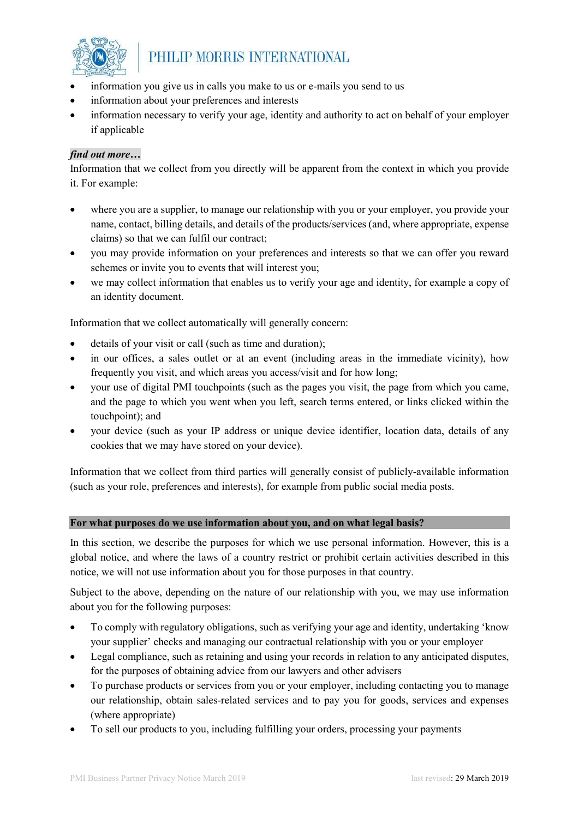

- information you give us in calls you make to us or e-mails you send to us
- information about your preferences and interests
- information necessary to verify your age, identity and authority to act on behalf of your employer if applicable

### *find out more…*

Information that we collect from you directly will be apparent from the context in which you provide it. For example:

- where you are a supplier, to manage our relationship with you or your employer, you provide your name, contact, billing details, and details of the products/services (and, where appropriate, expense claims) so that we can fulfil our contract;
- you may provide information on your preferences and interests so that we can offer you reward schemes or invite you to events that will interest you;
- we may collect information that enables us to verify your age and identity, for example a copy of an identity document.

Information that we collect automatically will generally concern:

- details of your visit or call (such as time and duration);
- in our offices, a sales outlet or at an event (including areas in the immediate vicinity), how frequently you visit, and which areas you access/visit and for how long;
- your use of digital PMI touchpoints (such as the pages you visit, the page from which you came, and the page to which you went when you left, search terms entered, or links clicked within the touchpoint); and
- your device (such as your IP address or unique device identifier, location data, details of any cookies that we may have stored on your device).

Information that we collect from third parties will generally consist of publicly-available information (such as your role, preferences and interests), for example from public social media posts.

#### **For what purposes do we use information about you, and on what legal basis?**

In this section, we describe the purposes for which we use personal information. However, this is a global notice, and where the laws of a country restrict or prohibit certain activities described in this notice, we will not use information about you for those purposes in that country.

Subject to the above, depending on the nature of our relationship with you, we may use information about you for the following purposes:

- To comply with regulatory obligations, such as verifying your age and identity, undertaking 'know your supplier' checks and managing our contractual relationship with you or your employer
- Legal compliance, such as retaining and using your records in relation to any anticipated disputes, for the purposes of obtaining advice from our lawyers and other advisers
- To purchase products or services from you or your employer, including contacting you to manage our relationship, obtain sales-related services and to pay you for goods, services and expenses (where appropriate)
- To sell our products to you, including fulfilling your orders, processing your payments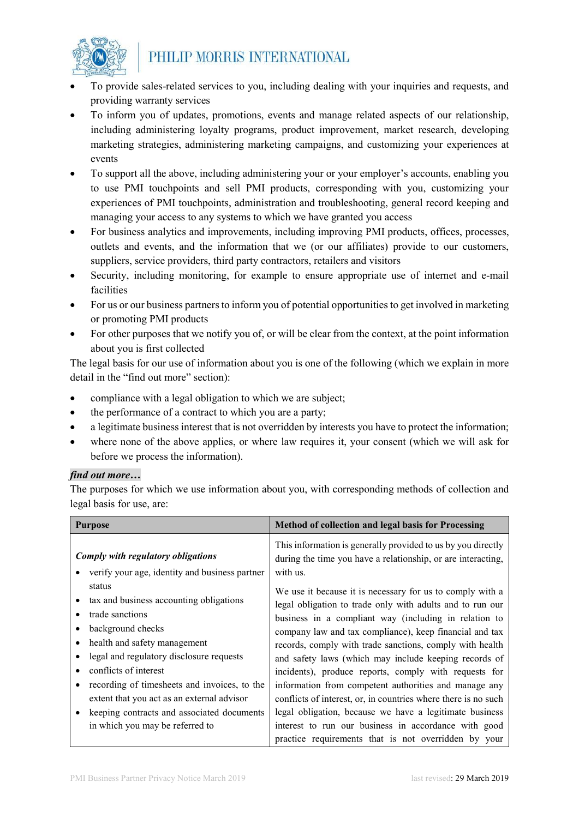

- To provide sales-related services to you, including dealing with your inquiries and requests, and providing warranty services
- To inform you of updates, promotions, events and manage related aspects of our relationship, including administering loyalty programs, product improvement, market research, developing marketing strategies, administering marketing campaigns, and customizing your experiences at events
- To support all the above, including administering your or your employer's accounts, enabling you to use PMI touchpoints and sell PMI products, corresponding with you, customizing your experiences of PMI touchpoints, administration and troubleshooting, general record keeping and managing your access to any systems to which we have granted you access
- For business analytics and improvements, including improving PMI products, offices, processes, outlets and events, and the information that we (or our affiliates) provide to our customers, suppliers, service providers, third party contractors, retailers and visitors
- Security, including monitoring, for example to ensure appropriate use of internet and e-mail facilities
- For us or our business partners to inform you of potential opportunities to get involved in marketing or promoting PMI products
- For other purposes that we notify you of, or will be clear from the context, at the point information about you is first collected

The legal basis for our use of information about you is one of the following (which we explain in more detail in the "find out more" section):

- compliance with a legal obligation to which we are subject;
- the performance of a contract to which you are a party;
- a legitimate business interest that is not overridden by interests you have to protect the information;
- where none of the above applies, or where law requires it, your consent (which we will ask for before we process the information).

## *find out more…*

The purposes for which we use information about you, with corresponding methods of collection and legal basis for use, are:

| <b>Purpose</b>                                                                                                                                                                                                                                                                                                                                                      | Method of collection and legal basis for Processing                                                                                                                                                                                                                                                                                                                                                                                                                                                                                                                                                                                                                    |
|---------------------------------------------------------------------------------------------------------------------------------------------------------------------------------------------------------------------------------------------------------------------------------------------------------------------------------------------------------------------|------------------------------------------------------------------------------------------------------------------------------------------------------------------------------------------------------------------------------------------------------------------------------------------------------------------------------------------------------------------------------------------------------------------------------------------------------------------------------------------------------------------------------------------------------------------------------------------------------------------------------------------------------------------------|
| Comply with regulatory obligations<br>verify your age, identity and business partner<br>status                                                                                                                                                                                                                                                                      | This information is generally provided to us by you directly<br>during the time you have a relationship, or are interacting,<br>with us.                                                                                                                                                                                                                                                                                                                                                                                                                                                                                                                               |
| tax and business accounting obligations<br>trade sanctions<br>background checks<br>health and safety management<br>legal and regulatory disclosure requests<br>conflicts of interest<br>recording of timesheets and invoices, to the<br>extent that you act as an external advisor<br>keeping contracts and associated documents<br>in which you may be referred to | We use it because it is necessary for us to comply with a<br>legal obligation to trade only with adults and to run our<br>business in a compliant way (including in relation to<br>company law and tax compliance), keep financial and tax<br>records, comply with trade sanctions, comply with health<br>and safety laws (which may include keeping records of<br>incidents), produce reports, comply with requests for<br>information from competent authorities and manage any<br>conflicts of interest, or, in countries where there is no such<br>legal obligation, because we have a legitimate business<br>interest to run our business in accordance with good |
|                                                                                                                                                                                                                                                                                                                                                                     | practice requirements that is not overridden by your                                                                                                                                                                                                                                                                                                                                                                                                                                                                                                                                                                                                                   |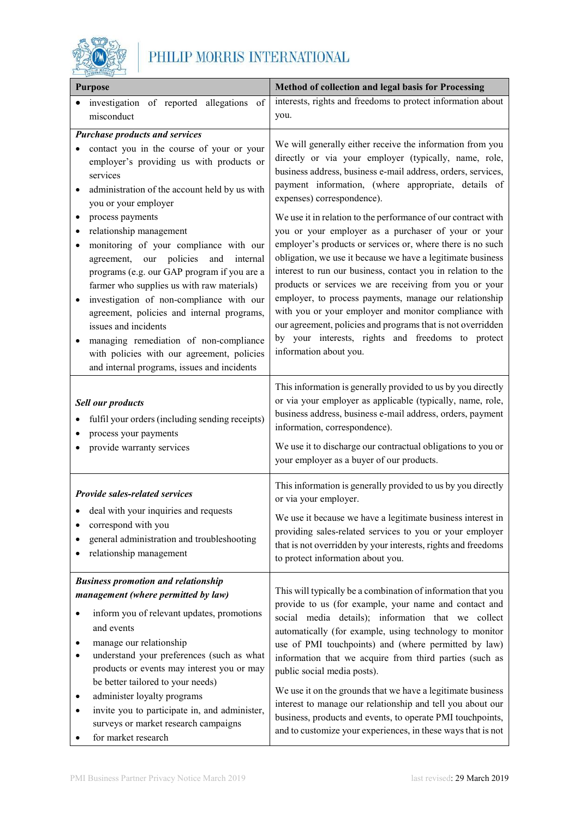

| <b>Purpose</b>                                                                                                                                                                                                                                                                                                                                                                                                                                                                                               | Method of collection and legal basis for Processing                                                                                                                                                                                                                                                                                                                                                                                                                                                                                                                                                                                                 |  |
|--------------------------------------------------------------------------------------------------------------------------------------------------------------------------------------------------------------------------------------------------------------------------------------------------------------------------------------------------------------------------------------------------------------------------------------------------------------------------------------------------------------|-----------------------------------------------------------------------------------------------------------------------------------------------------------------------------------------------------------------------------------------------------------------------------------------------------------------------------------------------------------------------------------------------------------------------------------------------------------------------------------------------------------------------------------------------------------------------------------------------------------------------------------------------------|--|
| investigation of reported allegations<br>of<br>misconduct                                                                                                                                                                                                                                                                                                                                                                                                                                                    | interests, rights and freedoms to protect information about<br>you.                                                                                                                                                                                                                                                                                                                                                                                                                                                                                                                                                                                 |  |
| <b>Purchase products and services</b><br>contact you in the course of your or your<br>employer's providing us with products or<br>services<br>administration of the account held by us with<br>you or your employer                                                                                                                                                                                                                                                                                          | We will generally either receive the information from you<br>directly or via your employer (typically, name, role,<br>business address, business e-mail address, orders, services,<br>payment information, (where appropriate, details of<br>expenses) correspondence).                                                                                                                                                                                                                                                                                                                                                                             |  |
| process payments<br>$\bullet$<br>relationship management<br>monitoring of your compliance with our<br>agreement,<br>our<br>policies<br>internal<br>and<br>programs (e.g. our GAP program if you are a<br>farmer who supplies us with raw materials)<br>investigation of non-compliance with our<br>agreement, policies and internal programs,<br>issues and incidents<br>managing remediation of non-compliance<br>with policies with our agreement, policies<br>and internal programs, issues and incidents | We use it in relation to the performance of our contract with<br>you or your employer as a purchaser of your or your<br>employer's products or services or, where there is no such<br>obligation, we use it because we have a legitimate business<br>interest to run our business, contact you in relation to the<br>products or services we are receiving from you or your<br>employer, to process payments, manage our relationship<br>with you or your employer and monitor compliance with<br>our agreement, policies and programs that is not overridden<br>by your interests, rights and freedoms to protect<br>information about you.        |  |
| <b>Sell our products</b><br>fulfil your orders (including sending receipts)<br>process your payments<br>provide warranty services                                                                                                                                                                                                                                                                                                                                                                            | This information is generally provided to us by you directly<br>or via your employer as applicable (typically, name, role,<br>business address, business e-mail address, orders, payment<br>information, correspondence).<br>We use it to discharge our contractual obligations to you or<br>your employer as a buyer of our products.                                                                                                                                                                                                                                                                                                              |  |
| <b>Provide sales-related services</b><br>• deal with your inquiries and requests<br>correspond with you<br>general administration and troubleshooting<br>relationship management                                                                                                                                                                                                                                                                                                                             | This information is generally provided to us by you directly<br>or via your employer.<br>We use it because we have a legitimate business interest in<br>providing sales-related services to you or your employer<br>that is not overridden by your interests, rights and freedoms<br>to protect information about you.                                                                                                                                                                                                                                                                                                                              |  |
| <b>Business promotion and relationship</b><br>management (where permitted by law)<br>inform you of relevant updates, promotions<br>and events<br>manage our relationship<br>understand your preferences (such as what<br>products or events may interest you or may<br>be better tailored to your needs)<br>administer loyalty programs<br>invite you to participate in, and administer,<br>surveys or market research campaigns<br>for market research                                                      | This will typically be a combination of information that you<br>provide to us (for example, your name and contact and<br>social media details); information that we collect<br>automatically (for example, using technology to monitor<br>use of PMI touchpoints) and (where permitted by law)<br>information that we acquire from third parties (such as<br>public social media posts).<br>We use it on the grounds that we have a legitimate business<br>interest to manage our relationship and tell you about our<br>business, products and events, to operate PMI touchpoints,<br>and to customize your experiences, in these ways that is not |  |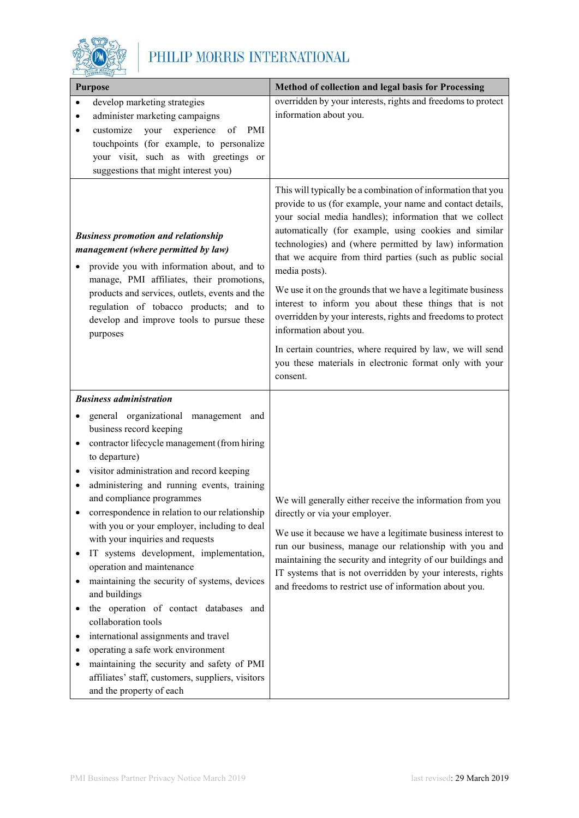

| <b>Purpose</b>                                                                                                                                                                                                                                                                                                                                                                                                                                                                                                                                                                                                                                                                                                                                                                                                                               | Method of collection and legal basis for Processing                                                                                                                                                                                                                                                                                                                                                                                                                                                                                                                                                                                                                   |
|----------------------------------------------------------------------------------------------------------------------------------------------------------------------------------------------------------------------------------------------------------------------------------------------------------------------------------------------------------------------------------------------------------------------------------------------------------------------------------------------------------------------------------------------------------------------------------------------------------------------------------------------------------------------------------------------------------------------------------------------------------------------------------------------------------------------------------------------|-----------------------------------------------------------------------------------------------------------------------------------------------------------------------------------------------------------------------------------------------------------------------------------------------------------------------------------------------------------------------------------------------------------------------------------------------------------------------------------------------------------------------------------------------------------------------------------------------------------------------------------------------------------------------|
| develop marketing strategies<br>$\bullet$<br>administer marketing campaigns<br>٠                                                                                                                                                                                                                                                                                                                                                                                                                                                                                                                                                                                                                                                                                                                                                             | overridden by your interests, rights and freedoms to protect<br>information about you.                                                                                                                                                                                                                                                                                                                                                                                                                                                                                                                                                                                |
| your experience<br>customize<br><b>PMI</b><br>of<br>touchpoints (for example, to personalize<br>your visit, such as with greetings or<br>suggestions that might interest you)                                                                                                                                                                                                                                                                                                                                                                                                                                                                                                                                                                                                                                                                |                                                                                                                                                                                                                                                                                                                                                                                                                                                                                                                                                                                                                                                                       |
| <b>Business promotion and relationship</b><br>management (where permitted by law)<br>provide you with information about, and to<br>manage, PMI affiliates, their promotions,<br>products and services, outlets, events and the<br>regulation of tobacco products; and to<br>develop and improve tools to pursue these<br>purposes                                                                                                                                                                                                                                                                                                                                                                                                                                                                                                            | This will typically be a combination of information that you<br>provide to us (for example, your name and contact details,<br>your social media handles); information that we collect<br>automatically (for example, using cookies and similar<br>technologies) and (where permitted by law) information<br>that we acquire from third parties (such as public social<br>media posts).<br>We use it on the grounds that we have a legitimate business<br>interest to inform you about these things that is not<br>overridden by your interests, rights and freedoms to protect<br>information about you.<br>In certain countries, where required by law, we will send |
|                                                                                                                                                                                                                                                                                                                                                                                                                                                                                                                                                                                                                                                                                                                                                                                                                                              | you these materials in electronic format only with your<br>consent.                                                                                                                                                                                                                                                                                                                                                                                                                                                                                                                                                                                                   |
| <b>Business administration</b>                                                                                                                                                                                                                                                                                                                                                                                                                                                                                                                                                                                                                                                                                                                                                                                                               |                                                                                                                                                                                                                                                                                                                                                                                                                                                                                                                                                                                                                                                                       |
| general organizational management and<br>business record keeping<br>contractor lifecycle management (from hiring<br>٠<br>to departure)<br>visitor administration and record keeping<br>administering and running events, training<br>٠<br>and compliance programmes<br>correspondence in relation to our relationship<br>$\bullet$<br>with you or your employer, including to deal<br>with your inquiries and requests<br>IT systems development, implementation,<br>operation and maintenance<br>maintaining the security of systems, devices<br>and buildings<br>the operation of contact databases and<br>collaboration tools<br>international assignments and travel<br>operating a safe work environment<br>maintaining the security and safety of PMI<br>affiliates' staff, customers, suppliers, visitors<br>and the property of each | We will generally either receive the information from you<br>directly or via your employer.<br>We use it because we have a legitimate business interest to<br>run our business, manage our relationship with you and<br>maintaining the security and integrity of our buildings and<br>IT systems that is not overridden by your interests, rights<br>and freedoms to restrict use of information about you.                                                                                                                                                                                                                                                          |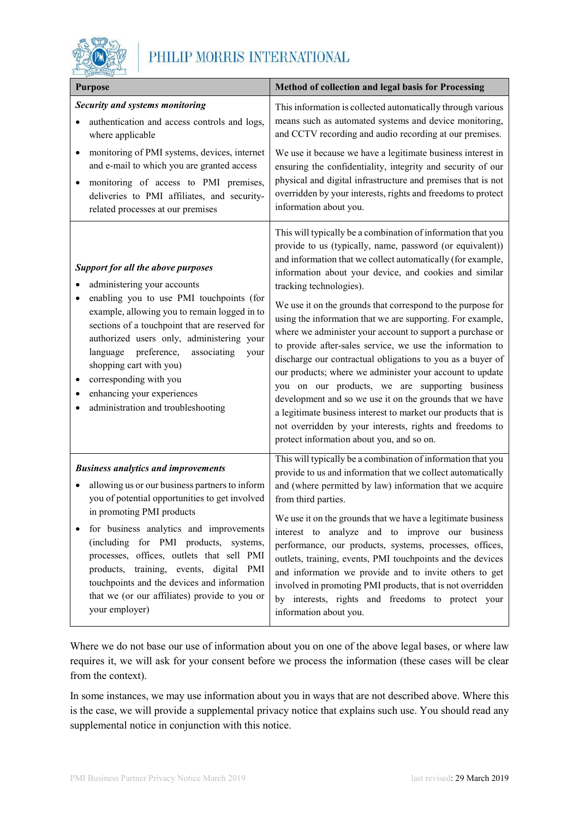

| <b>Purpose</b>                                                                                                                                                                                                                                                                                                                                                                                                                                 | Method of collection and legal basis for Processing                                                                                                                                                                                                                                                                                                                                                                                                                                                                                                                                                                                                                                                                                                                                                                                                                                                                                                     |
|------------------------------------------------------------------------------------------------------------------------------------------------------------------------------------------------------------------------------------------------------------------------------------------------------------------------------------------------------------------------------------------------------------------------------------------------|---------------------------------------------------------------------------------------------------------------------------------------------------------------------------------------------------------------------------------------------------------------------------------------------------------------------------------------------------------------------------------------------------------------------------------------------------------------------------------------------------------------------------------------------------------------------------------------------------------------------------------------------------------------------------------------------------------------------------------------------------------------------------------------------------------------------------------------------------------------------------------------------------------------------------------------------------------|
| Security and systems monitoring<br>authentication and access controls and logs,<br>where applicable                                                                                                                                                                                                                                                                                                                                            | This information is collected automatically through various<br>means such as automated systems and device monitoring,<br>and CCTV recording and audio recording at our premises.                                                                                                                                                                                                                                                                                                                                                                                                                                                                                                                                                                                                                                                                                                                                                                        |
| monitoring of PMI systems, devices, internet<br>٠<br>and e-mail to which you are granted access<br>monitoring of access to PMI premises,<br>deliveries to PMI affiliates, and security-<br>related processes at our premises                                                                                                                                                                                                                   | We use it because we have a legitimate business interest in<br>ensuring the confidentiality, integrity and security of our<br>physical and digital infrastructure and premises that is not<br>overridden by your interests, rights and freedoms to protect<br>information about you.                                                                                                                                                                                                                                                                                                                                                                                                                                                                                                                                                                                                                                                                    |
| <b>Support for all the above purposes</b><br>administering your accounts<br>enabling you to use PMI touchpoints (for<br>example, allowing you to remain logged in to<br>sections of a touchpoint that are reserved for<br>authorized users only, administering your<br>preference,<br>associating<br>language<br>your<br>shopping cart with you)<br>corresponding with you<br>enhancing your experiences<br>administration and troubleshooting | This will typically be a combination of information that you<br>provide to us (typically, name, password (or equivalent))<br>and information that we collect automatically (for example,<br>information about your device, and cookies and similar<br>tracking technologies).<br>We use it on the grounds that correspond to the purpose for<br>using the information that we are supporting. For example,<br>where we administer your account to support a purchase or<br>to provide after-sales service, we use the information to<br>discharge our contractual obligations to you as a buyer of<br>our products; where we administer your account to update<br>you on our products, we are supporting business<br>development and so we use it on the grounds that we have<br>a legitimate business interest to market our products that is<br>not overridden by your interests, rights and freedoms to<br>protect information about you, and so on. |
| <b>Business analytics and improvements</b><br>allowing us or our business partners to inform                                                                                                                                                                                                                                                                                                                                                   | This will typically be a combination of information that you<br>provide to us and information that we collect automatically<br>and (where permitted by law) information that we acquire                                                                                                                                                                                                                                                                                                                                                                                                                                                                                                                                                                                                                                                                                                                                                                 |
| you of potential opportunities to get involved<br>in promoting PMI products<br>for business analytics and improvements<br>(including for PMI products, systems,<br>processes, offices, outlets that sell PMI<br>products, training, events, digital PMI<br>touchpoints and the devices and information<br>that we (or our affiliates) provide to you or<br>your employer)                                                                      | from third parties.<br>We use it on the grounds that we have a legitimate business<br>interest to analyze and to improve our business<br>performance, our products, systems, processes, offices,<br>outlets, training, events, PMI touchpoints and the devices<br>and information we provide and to invite others to get<br>involved in promoting PMI products, that is not overridden<br>by interests, rights and freedoms to protect your<br>information about you.                                                                                                                                                                                                                                                                                                                                                                                                                                                                                   |

Where we do not base our use of information about you on one of the above legal bases, or where law requires it, we will ask for your consent before we process the information (these cases will be clear from the context).

In some instances, we may use information about you in ways that are not described above. Where this is the case, we will provide a supplemental privacy notice that explains such use. You should read any supplemental notice in conjunction with this notice.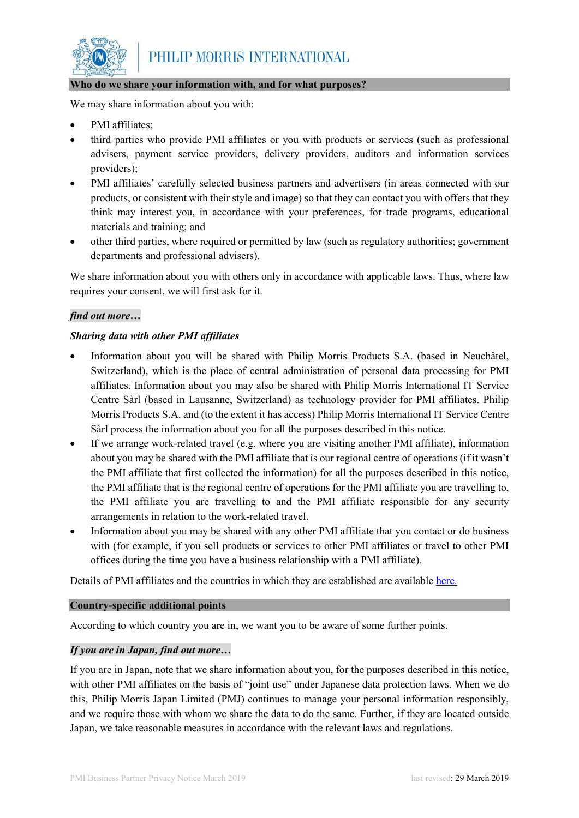

# **Who do we share your information with, and for what purposes?**

We may share information about you with:

- PMI affiliates;
- third parties who provide PMI affiliates or you with products or services (such as professional advisers, payment service providers, delivery providers, auditors and information services providers);
- PMI affiliates' carefully selected business partners and advertisers (in areas connected with our products, or consistent with their style and image) so that they can contact you with offers that they think may interest you, in accordance with your preferences, for trade programs, educational materials and training; and
- other third parties, where required or permitted by law (such as regulatory authorities; government departments and professional advisers).

We share information about you with others only in accordance with applicable laws. Thus, where law requires your consent, we will first ask for it.

## *find out more…*

# *Sharing data with other PMI affiliates*

- Information about you will be shared with Philip Morris Products S.A. (based in Neuchâtel, Switzerland), which is the place of central administration of personal data processing for PMI affiliates. Information about you may also be shared with Philip Morris International IT Service Centre Sàrl (based in Lausanne, Switzerland) as technology provider for PMI affiliates. Philip Morris Products S.A. and (to the extent it has access) Philip Morris International IT Service Centre Sàrl process the information about you for all the purposes described in this notice.
- If we arrange work-related travel (e.g. where you are visiting another PMI affiliate), information about you may be shared with the PMI affiliate that is our regional centre of operations (if it wasn't the PMI affiliate that first collected the information) for all the purposes described in this notice, the PMI affiliate that is the regional centre of operations for the PMI affiliate you are travelling to, the PMI affiliate you are travelling to and the PMI affiliate responsible for any security arrangements in relation to the work-related travel.
- Information about you may be shared with any other PMI affiliate that you contact or do business with (for example, if you sell products or services to other PMI affiliates or travel to other PMI offices during the time you have a business relationship with a PMI affiliate).

Details of PMI affiliates and the countries in which they are established are available [here.](https://www.pmiprivacy.com/en/business-partner/affiliates)

#### **Country-specific additional points**

According to which country you are in, we want you to be aware of some further points.

## *If you are in Japan, find out more…*

If you are in Japan, note that we share information about you, for the purposes described in this notice, with other PMI affiliates on the basis of "joint use" under Japanese data protection laws. When we do this, Philip Morris Japan Limited (PMJ) continues to manage your personal information responsibly, and we require those with whom we share the data to do the same. Further, if they are located outside Japan, we take reasonable measures in accordance with the relevant laws and regulations.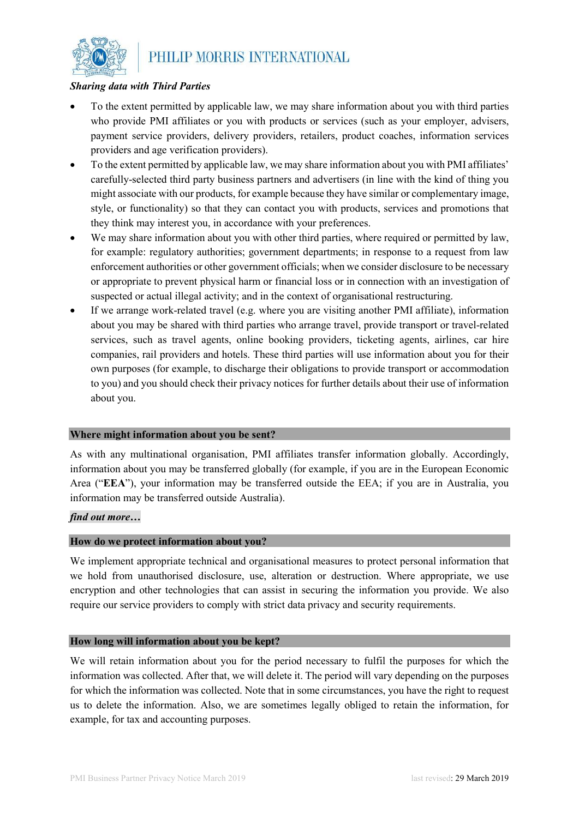

## *Sharing data with Third Parties*

- To the extent permitted by applicable law, we may share information about you with third parties who provide PMI affiliates or you with products or services (such as your employer, advisers, payment service providers, delivery providers, retailers, product coaches, information services providers and age verification providers).
- To the extent permitted by applicable law, we may share information about you with PMI affiliates' carefully-selected third party business partners and advertisers (in line with the kind of thing you might associate with our products, for example because they have similar or complementary image, style, or functionality) so that they can contact you with products, services and promotions that they think may interest you, in accordance with your preferences.
- We may share information about you with other third parties, where required or permitted by law, for example: regulatory authorities; government departments; in response to a request from law enforcement authorities or other government officials; when we consider disclosure to be necessary or appropriate to prevent physical harm or financial loss or in connection with an investigation of suspected or actual illegal activity; and in the context of organisational restructuring.
- If we arrange work-related travel (e.g. where you are visiting another PMI affiliate), information about you may be shared with third parties who arrange travel, provide transport or travel-related services, such as travel agents, online booking providers, ticketing agents, airlines, car hire companies, rail providers and hotels. These third parties will use information about you for their own purposes (for example, to discharge their obligations to provide transport or accommodation to you) and you should check their privacy notices for further details about their use of information about you.

#### **Where might information about you be sent?**

As with any multinational organisation, PMI affiliates transfer information globally. Accordingly, information about you may be transferred globally (for example, if you are in the European Economic Area ("**EEA**"), your information may be transferred outside the EEA; if you are in Australia, you information may be transferred outside Australia).

# *find out more…*

#### **How do we protect information about you?**

We implement appropriate technical and organisational measures to protect personal information that we hold from unauthorised disclosure, use, alteration or destruction. Where appropriate, we use encryption and other technologies that can assist in securing the information you provide. We also require our service providers to comply with strict data privacy and security requirements.

#### **How long will information about you be kept?**

We will retain information about you for the period necessary to fulfil the purposes for which the information was collected. After that, we will delete it. The period will vary depending on the purposes for which the information was collected. Note that in some circumstances, you have the right to request us to delete the information. Also, we are sometimes legally obliged to retain the information, for example, for tax and accounting purposes.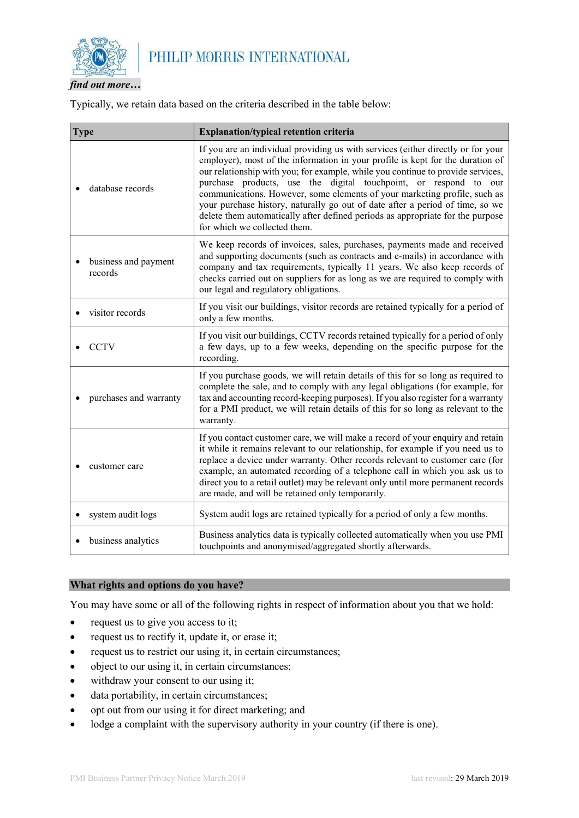

*find out more…*

Typically, we retain data based on the criteria described in the table below:

| <b>Type</b>                     | Explanation/typical retention criteria                                                                                                                                                                                                                                                                                                                                                                                                                                                                                                                                                                    |
|---------------------------------|-----------------------------------------------------------------------------------------------------------------------------------------------------------------------------------------------------------------------------------------------------------------------------------------------------------------------------------------------------------------------------------------------------------------------------------------------------------------------------------------------------------------------------------------------------------------------------------------------------------|
| database records                | If you are an individual providing us with services (either directly or for your<br>employer), most of the information in your profile is kept for the duration of<br>our relationship with you; for example, while you continue to provide services,<br>purchase products, use the digital touchpoint, or respond to our<br>communications. However, some elements of your marketing profile, such as<br>your purchase history, naturally go out of date after a period of time, so we<br>delete them automatically after defined periods as appropriate for the purpose<br>for which we collected them. |
| business and payment<br>records | We keep records of invoices, sales, purchases, payments made and received<br>and supporting documents (such as contracts and e-mails) in accordance with<br>company and tax requirements, typically 11 years. We also keep records of<br>checks carried out on suppliers for as long as we are required to comply with<br>our legal and regulatory obligations.                                                                                                                                                                                                                                           |
| visitor records                 | If you visit our buildings, visitor records are retained typically for a period of<br>only a few months.                                                                                                                                                                                                                                                                                                                                                                                                                                                                                                  |
| <b>CCTV</b>                     | If you visit our buildings, CCTV records retained typically for a period of only<br>a few days, up to a few weeks, depending on the specific purpose for the<br>recording.                                                                                                                                                                                                                                                                                                                                                                                                                                |
| purchases and warranty          | If you purchase goods, we will retain details of this for so long as required to<br>complete the sale, and to comply with any legal obligations (for example, for<br>tax and accounting record-keeping purposes). If you also register for a warranty<br>for a PMI product, we will retain details of this for so long as relevant to the<br>warranty.                                                                                                                                                                                                                                                    |
| customer care                   | If you contact customer care, we will make a record of your enquiry and retain<br>it while it remains relevant to our relationship, for example if you need us to<br>replace a device under warranty. Other records relevant to customer care (for<br>example, an automated recording of a telephone call in which you ask us to<br>direct you to a retail outlet) may be relevant only until more permanent records<br>are made, and will be retained only temporarily.                                                                                                                                  |
| system audit logs               | System audit logs are retained typically for a period of only a few months.                                                                                                                                                                                                                                                                                                                                                                                                                                                                                                                               |
| business analytics              | Business analytics data is typically collected automatically when you use PMI<br>touchpoints and anonymised/aggregated shortly afterwards.                                                                                                                                                                                                                                                                                                                                                                                                                                                                |

## **What rights and options do you have?**

You may have some or all of the following rights in respect of information about you that we hold:

- request us to give you access to it;
- request us to rectify it, update it, or erase it;
- request us to restrict our using it, in certain circumstances;
- object to our using it, in certain circumstances;
- withdraw your consent to our using it;
- data portability, in certain circumstances;
- opt out from our using it for direct marketing; and
- lodge a complaint with the supervisory authority in your country (if there is one).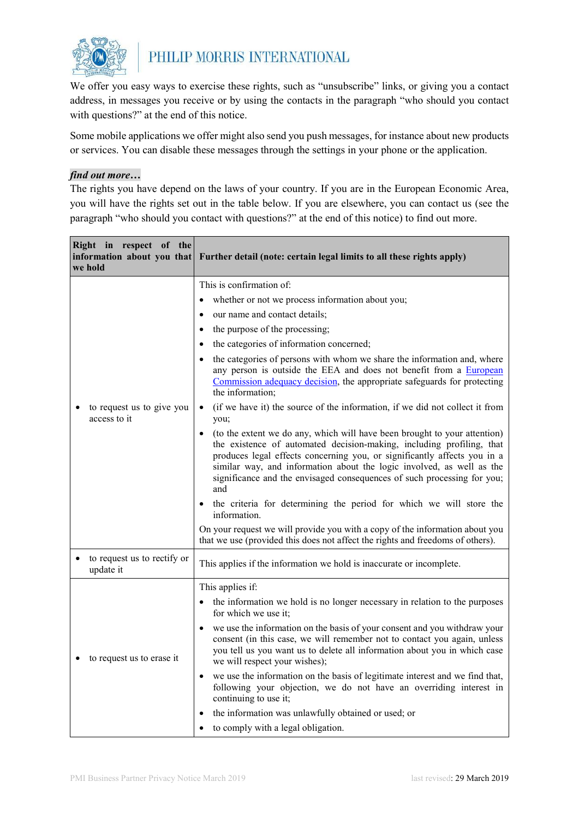

We offer you easy ways to exercise these rights, such as "unsubscribe" links, or giving you a contact address, in messages you receive or by using the contacts in the paragraph "who should you contact with questions?" at the end of this notice.

Some mobile applications we offer might also send you push messages, for instance about new products or services. You can disable these messages through the settings in your phone or the application.

#### *find out more…*

The rights you have depend on the laws of your country. If you are in the European Economic Area, you will have the rights set out in the table below. If you are elsewhere, you can contact us (see the paragraph "who should you contact with questions?" at the end of this notice) to find out more.

| Right in respect of the<br>information about you that<br>we hold | Further detail (note: certain legal limits to all these rights apply)                                                                                                                                                                                                                                                                                                                                  |
|------------------------------------------------------------------|--------------------------------------------------------------------------------------------------------------------------------------------------------------------------------------------------------------------------------------------------------------------------------------------------------------------------------------------------------------------------------------------------------|
|                                                                  | This is confirmation of:                                                                                                                                                                                                                                                                                                                                                                               |
|                                                                  | whether or not we process information about you;                                                                                                                                                                                                                                                                                                                                                       |
|                                                                  | our name and contact details;<br>$\bullet$                                                                                                                                                                                                                                                                                                                                                             |
|                                                                  | the purpose of the processing;<br>$\bullet$                                                                                                                                                                                                                                                                                                                                                            |
|                                                                  | the categories of information concerned;<br>$\bullet$                                                                                                                                                                                                                                                                                                                                                  |
| to request us to give you<br>access to it                        | the categories of persons with whom we share the information and, where<br>any person is outside the EEA and does not benefit from a European<br>Commission adequacy decision, the appropriate safeguards for protecting<br>the information;                                                                                                                                                           |
|                                                                  | (if we have it) the source of the information, if we did not collect it from<br>$\bullet$<br>you;                                                                                                                                                                                                                                                                                                      |
|                                                                  | (to the extent we do any, which will have been brought to your attention)<br>$\bullet$<br>the existence of automated decision-making, including profiling, that<br>produces legal effects concerning you, or significantly affects you in a<br>similar way, and information about the logic involved, as well as the<br>significance and the envisaged consequences of such processing for you;<br>and |
|                                                                  | the criteria for determining the period for which we will store the<br>$\bullet$<br>information.                                                                                                                                                                                                                                                                                                       |
|                                                                  | On your request we will provide you with a copy of the information about you<br>that we use (provided this does not affect the rights and freedoms of others).                                                                                                                                                                                                                                         |
| to request us to rectify or<br>update it                         | This applies if the information we hold is inaccurate or incomplete.                                                                                                                                                                                                                                                                                                                                   |
|                                                                  | This applies if:                                                                                                                                                                                                                                                                                                                                                                                       |
|                                                                  | the information we hold is no longer necessary in relation to the purposes<br>for which we use it;                                                                                                                                                                                                                                                                                                     |
| to request us to erase it                                        | we use the information on the basis of your consent and you withdraw your<br>consent (in this case, we will remember not to contact you again, unless<br>you tell us you want us to delete all information about you in which case<br>we will respect your wishes);                                                                                                                                    |
|                                                                  | we use the information on the basis of legitimate interest and we find that,<br>$\bullet$<br>following your objection, we do not have an overriding interest in<br>continuing to use it;                                                                                                                                                                                                               |
|                                                                  | the information was unlawfully obtained or used; or                                                                                                                                                                                                                                                                                                                                                    |
|                                                                  | to comply with a legal obligation.                                                                                                                                                                                                                                                                                                                                                                     |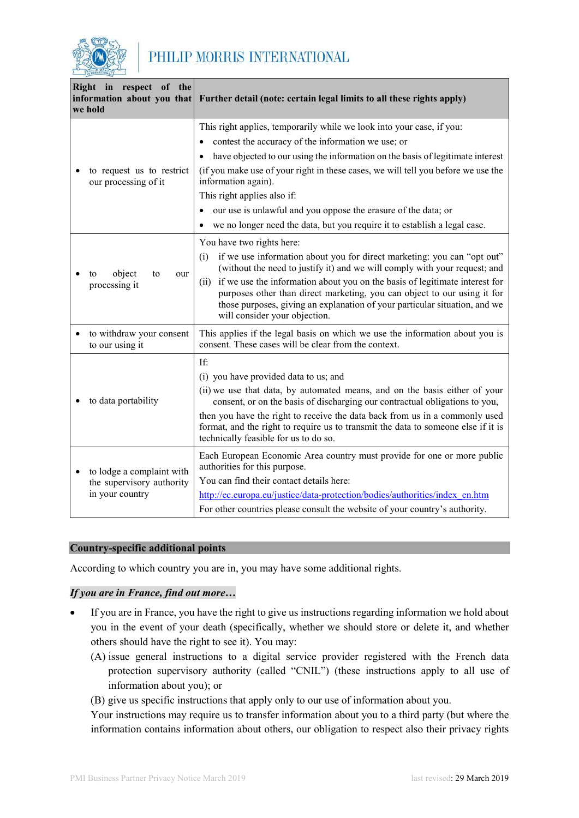

|                                                   | Right in respect of the<br>information about you that<br>we hold                                         | Further detail (note: certain legal limits to all these rights apply)                                                                                                                                                                                                                                                                                                                                                  |
|---------------------------------------------------|----------------------------------------------------------------------------------------------------------|------------------------------------------------------------------------------------------------------------------------------------------------------------------------------------------------------------------------------------------------------------------------------------------------------------------------------------------------------------------------------------------------------------------------|
|                                                   | This right applies, temporarily while we look into your case, if you:                                    |                                                                                                                                                                                                                                                                                                                                                                                                                        |
|                                                   |                                                                                                          | contest the accuracy of the information we use; or<br>٠                                                                                                                                                                                                                                                                                                                                                                |
|                                                   |                                                                                                          | have objected to our using the information on the basis of legitimate interest                                                                                                                                                                                                                                                                                                                                         |
| to request us to restrict<br>our processing of it | (if you make use of your right in these cases, we will tell you before we use the<br>information again). |                                                                                                                                                                                                                                                                                                                                                                                                                        |
|                                                   |                                                                                                          | This right applies also if:                                                                                                                                                                                                                                                                                                                                                                                            |
|                                                   | our use is unlawful and you oppose the erasure of the data; or                                           |                                                                                                                                                                                                                                                                                                                                                                                                                        |
|                                                   | we no longer need the data, but you require it to establish a legal case.                                |                                                                                                                                                                                                                                                                                                                                                                                                                        |
| object<br>to<br>our<br>to<br>processing it        | You have two rights here:                                                                                |                                                                                                                                                                                                                                                                                                                                                                                                                        |
|                                                   |                                                                                                          | if we use information about you for direct marketing: you can "opt out"<br>(i)<br>(without the need to justify it) and we will comply with your request; and                                                                                                                                                                                                                                                           |
|                                                   |                                                                                                          | (ii) if we use the information about you on the basis of legitimate interest for<br>purposes other than direct marketing, you can object to our using it for<br>those purposes, giving an explanation of your particular situation, and we<br>will consider your objection.                                                                                                                                            |
|                                                   | to withdraw your consent<br>to our using it                                                              | This applies if the legal basis on which we use the information about you is<br>consent. These cases will be clear from the context.                                                                                                                                                                                                                                                                                   |
|                                                   | to data portability                                                                                      | If:<br>(i) you have provided data to us; and<br>(ii) we use that data, by automated means, and on the basis either of your<br>consent, or on the basis of discharging our contractual obligations to you,<br>then you have the right to receive the data back from us in a commonly used<br>format, and the right to require us to transmit the data to someone else if it is<br>technically feasible for us to do so. |
|                                                   | to lodge a complaint with                                                                                | Each European Economic Area country must provide for one or more public<br>authorities for this purpose.                                                                                                                                                                                                                                                                                                               |
|                                                   | the supervisory authority                                                                                | You can find their contact details here:                                                                                                                                                                                                                                                                                                                                                                               |
|                                                   | in your country                                                                                          | http://ec.europa.eu/justice/data-protection/bodies/authorities/index en.htm<br>For other countries please consult the website of your country's authority.                                                                                                                                                                                                                                                             |
|                                                   |                                                                                                          |                                                                                                                                                                                                                                                                                                                                                                                                                        |

#### **Country-specific additional points**

According to which country you are in, you may have some additional rights.

#### *If you are in France, find out more…*

- If you are in France, you have the right to give us instructions regarding information we hold about you in the event of your death (specifically, whether we should store or delete it, and whether others should have the right to see it). You may:
	- (A) issue general instructions to a digital service provider registered with the French data protection supervisory authority (called "CNIL") (these instructions apply to all use of information about you); or
	- (B) give us specific instructions that apply only to our use of information about you.

Your instructions may require us to transfer information about you to a third party (but where the information contains information about others, our obligation to respect also their privacy rights